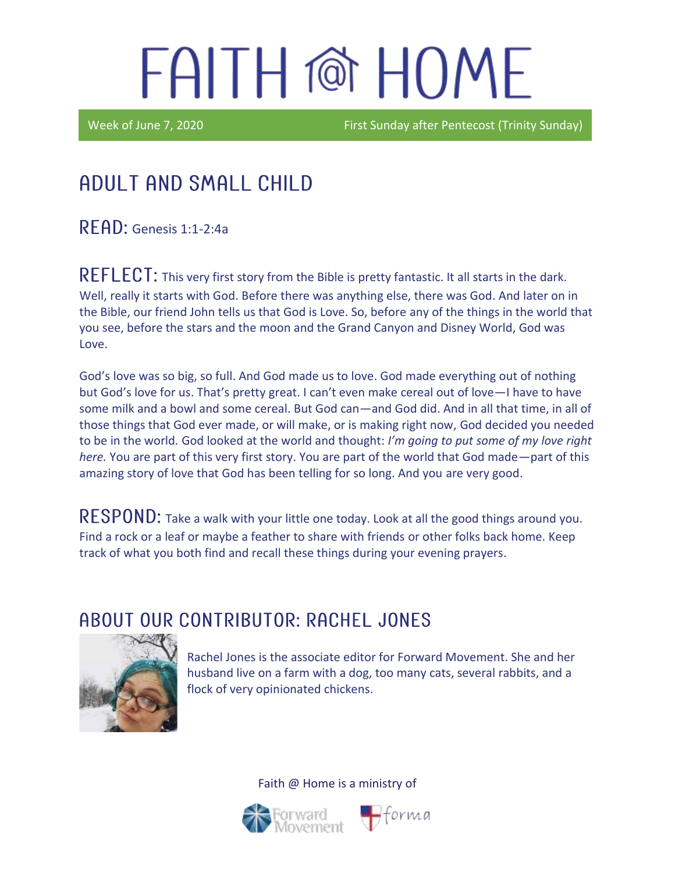Week of June 7, 2020 **First Sunday after Pentecost (Trinity Sunday)** 

### Adult and Small Child

 $READ:$  Genesis 1:1-2:4a

REFLECT: This very first story from the Bible is pretty fantastic. It all starts in the dark. Well, really it starts with God. Before there was anything else, there was God. And later on in the Bible, our friend John tells us that God is Love. So, before any of the things in the world that you see, before the stars and the moon and the Grand Canyon and Disney World, God was Love.

God's love was so big, so full. And God made us to love. God made everything out of nothing but God's love for us. That's pretty great. I can't even make cereal out of love—I have to have some milk and a bowl and some cereal. But God can—and God did. And in all that time, in all of those things that God ever made, or will make, or is making right now, God decided you needed to be in the world*.* God looked at the world and thought: *I'm going to put some of my love right here.* You are part of this very first story. You are part of the world that God made—part of this amazing story of love that God has been telling for so long. And you are very good.

RESPOND: Take a walk with your little one today. Look at all the good things around you. Find a rock or a leaf or maybe a feather to share with friends or other folks back home. Keep track of what you both find and recall these things during your evening prayers.

#### ABOUT OUR CONTRIBUTOR: RACHEL JONES



Rachel Jones is the associate editor for Forward Movement. She and her husband live on a farm with a dog, too many cats, several rabbits, and a flock of very opinionated chickens.



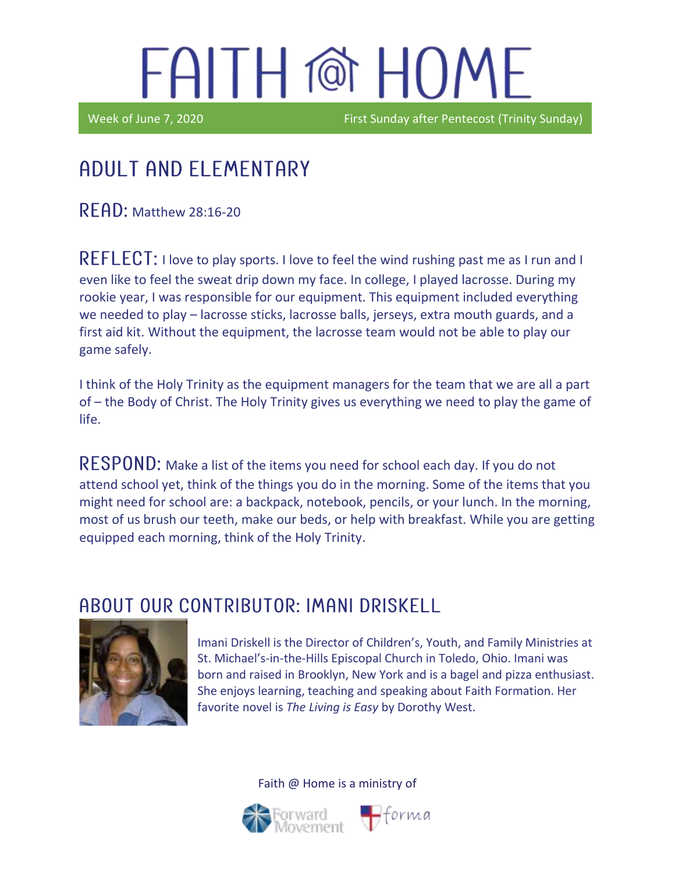Week of June 7, 2020 **First Sunday after Pentecost (Trinity Sunday)** 

### Ϊ Adult and elementary

 $READ:$  Matthew 28:16-20

REFLECT: I love to play sports. I love to feel the wind rushing past me as I run and I even like to feel the sweat drip down my face. In college, I played lacrosse. During my rookie year, I was responsible for our equipment. This equipment included everything we needed to play – lacrosse sticks, lacrosse balls, jerseys, extra mouth guards, and a first aid kit. Without the equipment, the lacrosse team would not be able to play our game safely.

I think of the Holy Trinity as the equipment managers for the team that we are all a part of – the Body of Christ. The Holy Trinity gives us everything we need to play the game of life.

RESPOND: Make a list of the items you need for school each day. If you do not attend school yet, think of the things you do in the morning. Some of the items that you might need for school are: a backpack, notebook, pencils, or your lunch. In the morning, most of us brush our teeth, make our beds, or help with breakfast. While you are getting equipped each morning, think of the Holy Trinity.

### ABOUT OUR CONTRIBUTOR: IMANI DRISKELL



Imani Driskell is the Director of Children's, Youth, and Family Ministries at St. Michael's-in-the-Hills Episcopal Church in Toledo, Ohio. Imani was born and raised in Brooklyn, New York and is a bagel and pizza enthusiast. She enjoys learning, teaching and speaking about Faith Formation. Her favorite novel is *The Living is Easy* by Dorothy West.



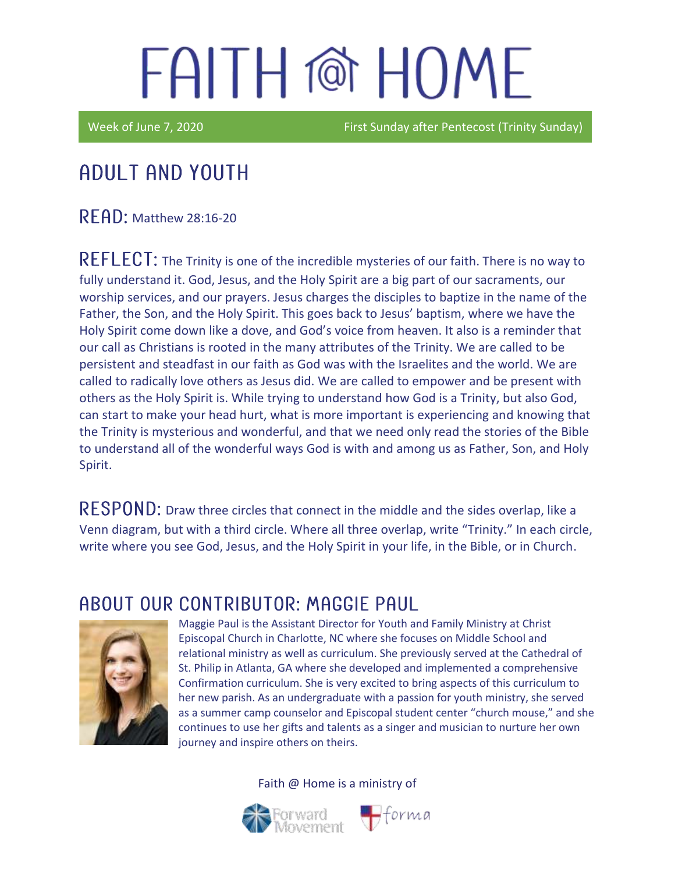Week of June 7, 2020 **First Sunday after Pentecost (Trinity Sunday**)

### Adult and youth

**READ: Matthew 28:16-20** 

REFLECT: The Trinity is one of the incredible mysteries of our faith. There is no way to fully understand it. God, Jesus, and the Holy Spirit are a big part of our sacraments, our worship services, and our prayers. Jesus charges the disciples to baptize in the name of the Father, the Son, and the Holy Spirit. This goes back to Jesus' baptism, where we have the Holy Spirit come down like a dove, and God's voice from heaven. It also is a reminder that our call as Christians is rooted in the many attributes of the Trinity. We are called to be persistent and steadfast in our faith as God was with the Israelites and the world. We are called to radically love others as Jesus did. We are called to empower and be present with others as the Holy Spirit is. While trying to understand how God is a Trinity, but also God, can start to make your head hurt, what is more important is experiencing and knowing that the Trinity is mysterious and wonderful, and that we need only read the stories of the Bible to understand all of the wonderful ways God is with and among us as Father, Son, and Holy Spirit.

RESPOND: Draw three circles that connect in the middle and the sides overlap, like a Venn diagram, but with a third circle. Where all three overlap, write "Trinity." In each circle, write where you see God, Jesus, and the Holy Spirit in your life, in the Bible, or in Church.

### A BOUT OUR CONTRIBUTOR: MAGGIE PAUL



Maggie Paul is the Assistant Director for Youth and Family Ministry at Christ Episcopal Church in Charlotte, NC where she focuses on Middle School and relational ministry as well as curriculum. She previously served at the Cathedral of St. Philip in Atlanta, GA where she developed and implemented a comprehensive Confirmation curriculum. She is very excited to bring aspects of this curriculum to her new parish. As an undergraduate with a passion for youth ministry, she served as a summer camp counselor and Episcopal student center "church mouse," and she continues to use her gifts and talents as a singer and musician to nurture her own journey and inspire others on theirs.